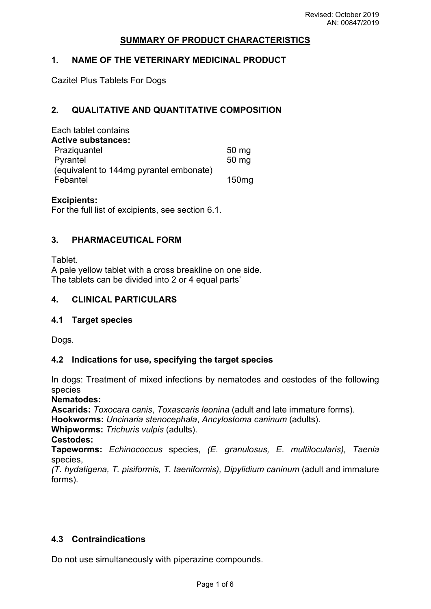## **SUMMARY OF PRODUCT CHARACTERISTICS**

#### **1. NAME OF THE VETERINARY MEDICINAL PRODUCT**

Cazitel Plus Tablets For Dogs

## **2. QUALITATIVE AND QUANTITATIVE COMPOSITION**

| Each tablet contains                    |                   |
|-----------------------------------------|-------------------|
| <b>Active substances:</b>               |                   |
| Praziquantel                            | $50 \, \text{mg}$ |
| Pyrantel                                | 50 mg             |
| (equivalent to 144mg pyrantel embonate) |                   |
| Febantel                                | 150 <sub>mg</sub> |

#### **Excipients:**

For the full list of excipients, see section 6.1.

#### **3. PHARMACEUTICAL FORM**

**Tablet** A pale yellow tablet with a cross breakline on one side. The tablets can be divided into 2 or 4 equal parts'

#### **4. CLINICAL PARTICULARS**

#### **4.1 Target species**

Dogs.

#### **4.2 Indications for use, specifying the target species**

In dogs: Treatment of mixed infections by nematodes and cestodes of the following species

**Nematodes:**

**Ascarids:** *Toxocara canis*, *Toxascaris leonina* (adult and late immature forms). **Hookworms:** *Uncinaria stenocephala*, *Ancylostoma caninum* (adults).

**Whipworms:** *Trichuris vulpis* (adults).

**Cestodes:**

**Tapeworms:** *Echinococcus* species, *(E. granulosus, E. multilocularis), Taenia* species,

*(T. hydatigena, T. pisiformis, T. taeniformis), Dipylidium caninum* (adult and immature forms).

## **4.3 Contraindications**

Do not use simultaneously with piperazine compounds.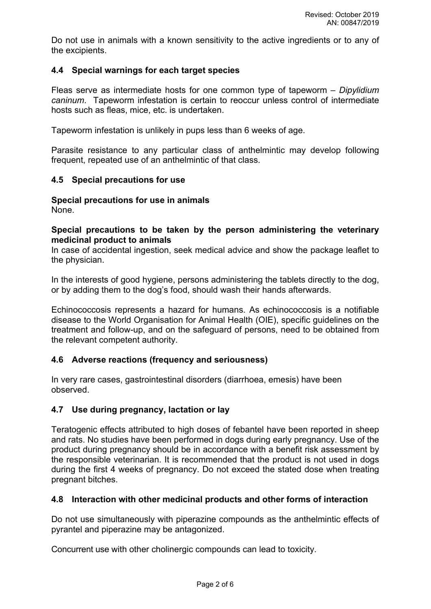Do not use in animals with a known sensitivity to the active ingredients or to any of the excipients.

## **4.4 Special warnings for each target species**

Fleas serve as intermediate hosts for one common type of tapeworm – *Dipylidium caninum*. Tapeworm infestation is certain to reoccur unless control of intermediate hosts such as fleas, mice, etc. is undertaken.

Tapeworm infestation is unlikely in pups less than 6 weeks of age.

Parasite resistance to any particular class of anthelmintic may develop following frequent, repeated use of an anthelmintic of that class.

#### **4.5 Special precautions for use**

## **Special precautions for use in animals**

None.

#### **Special precautions to be taken by the person administering the veterinary medicinal product to animals**

In case of accidental ingestion, seek medical advice and show the package leaflet to the physician.

In the interests of good hygiene, persons administering the tablets directly to the dog, or by adding them to the dog's food, should wash their hands afterwards.

Echinococcosis represents a hazard for humans. As echinococcosis is a notifiable disease to the World Organisation for Animal Health (OIE), specific guidelines on the treatment and follow-up, and on the safeguard of persons, need to be obtained from the relevant competent authority.

#### **4.6 Adverse reactions (frequency and seriousness)**

In very rare cases, gastrointestinal disorders (diarrhoea, emesis) have been observed.

#### **4.7 Use during pregnancy, lactation or lay**

Teratogenic effects attributed to high doses of febantel have been reported in sheep and rats. No studies have been performed in dogs during early pregnancy. Use of the product during pregnancy should be in accordance with a benefit risk assessment by the responsible veterinarian. It is recommended that the product is not used in dogs during the first 4 weeks of pregnancy. Do not exceed the stated dose when treating pregnant bitches.

#### **4.8 Interaction with other medicinal products and other forms of interaction**

Do not use simultaneously with piperazine compounds as the anthelmintic effects of pyrantel and piperazine may be antagonized.

Concurrent use with other cholinergic compounds can lead to toxicity.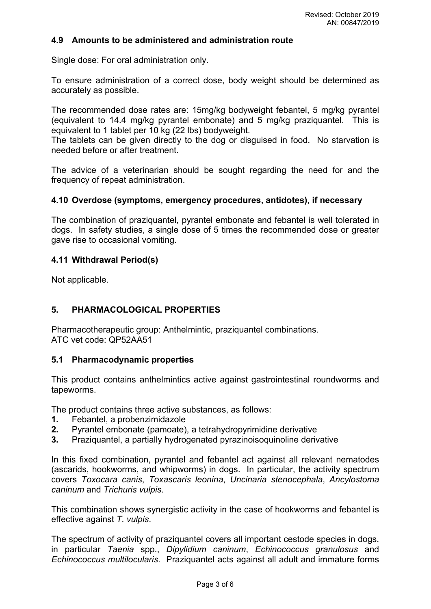#### **4.9 Amounts to be administered and administration route**

Single dose: For oral administration only.

To ensure administration of a correct dose, body weight should be determined as accurately as possible.

The recommended dose rates are: 15mg/kg bodyweight febantel, 5 mg/kg pyrantel (equivalent to 14.4 mg/kg pyrantel embonate) and 5 mg/kg praziquantel. This is equivalent to 1 tablet per 10 kg (22 lbs) bodyweight.

The tablets can be given directly to the dog or disguised in food. No starvation is needed before or after treatment.

The advice of a veterinarian should be sought regarding the need for and the frequency of repeat administration.

#### **4.10 Overdose (symptoms, emergency procedures, antidotes), if necessary**

The combination of praziquantel, pyrantel embonate and febantel is well tolerated in dogs. In safety studies, a single dose of 5 times the recommended dose or greater gave rise to occasional vomiting.

#### **4.11 Withdrawal Period(s)**

Not applicable.

#### **5. PHARMACOLOGICAL PROPERTIES**

Pharmacotherapeutic group: Anthelmintic, praziquantel combinations. ATC vet code: QP52AA51

#### **5.1 Pharmacodynamic properties**

This product contains anthelmintics active against gastrointestinal roundworms and tapeworms.

The product contains three active substances, as follows:

- **1.** Febantel, a probenzimidazole
- **2.** Pyrantel embonate (pamoate), a tetrahydropyrimidine derivative
- **3.** Praziquantel, a partially hydrogenated pyrazinoisoquinoline derivative

In this fixed combination, pyrantel and febantel act against all relevant nematodes (ascarids, hookworms, and whipworms) in dogs. In particular, the activity spectrum covers *Toxocara canis*, *Toxascaris leonina*, *Uncinaria stenocephala*, *Ancylostoma caninum* and *Trichuris vulpis*.

This combination shows synergistic activity in the case of hookworms and febantel is effective against *T. vulpis*.

The spectrum of activity of praziquantel covers all important cestode species in dogs, in particular *Taenia* spp., *Dipylidium caninum*, *Echinococcus granulosus* and *Echinococcus multilocularis*. Praziquantel acts against all adult and immature forms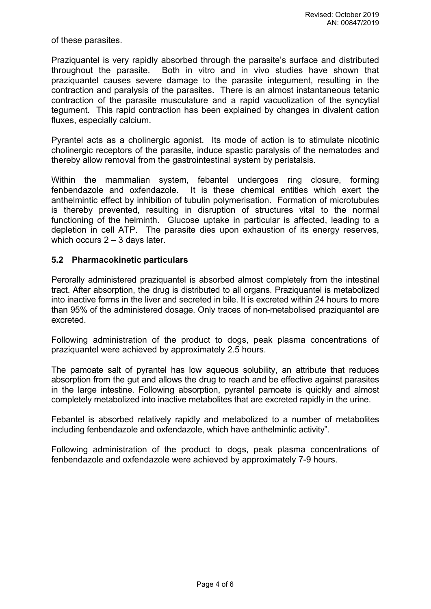of these parasites.

Praziquantel is very rapidly absorbed through the parasite's surface and distributed throughout the parasite. Both in vitro and in vivo studies have shown that praziquantel causes severe damage to the parasite integument, resulting in the contraction and paralysis of the parasites. There is an almost instantaneous tetanic contraction of the parasite musculature and a rapid vacuolization of the syncytial tegument. This rapid contraction has been explained by changes in divalent cation fluxes, especially calcium.

Pyrantel acts as a cholinergic agonist. Its mode of action is to stimulate nicotinic cholinergic receptors of the parasite, induce spastic paralysis of the nematodes and thereby allow removal from the gastrointestinal system by peristalsis.

Within the mammalian system, febantel undergoes ring closure, forming fenbendazole and oxfendazole. It is these chemical entities which exert the anthelmintic effect by inhibition of tubulin polymerisation. Formation of microtubules is thereby prevented, resulting in disruption of structures vital to the normal functioning of the helminth. Glucose uptake in particular is affected, leading to a depletion in cell ATP. The parasite dies upon exhaustion of its energy reserves, which occurs 2 – 3 days later.

## **5.2 Pharmacokinetic particulars**

Perorally administered praziquantel is absorbed almost completely from the intestinal tract. After absorption, the drug is distributed to all organs. Praziquantel is metabolized into inactive forms in the liver and secreted in bile. It is excreted within 24 hours to more than 95% of the administered dosage. Only traces of non-metabolised praziquantel are excreted.

Following administration of the product to dogs, peak plasma concentrations of praziquantel were achieved by approximately 2.5 hours.

The pamoate salt of pyrantel has low aqueous solubility, an attribute that reduces absorption from the gut and allows the drug to reach and be effective against parasites in the large intestine. Following absorption, pyrantel pamoate is quickly and almost completely metabolized into inactive metabolites that are excreted rapidly in the urine.

Febantel is absorbed relatively rapidly and metabolized to a number of metabolites including fenbendazole and oxfendazole, which have anthelmintic activity".

Following administration of the product to dogs, peak plasma concentrations of fenbendazole and oxfendazole were achieved by approximately 7-9 hours.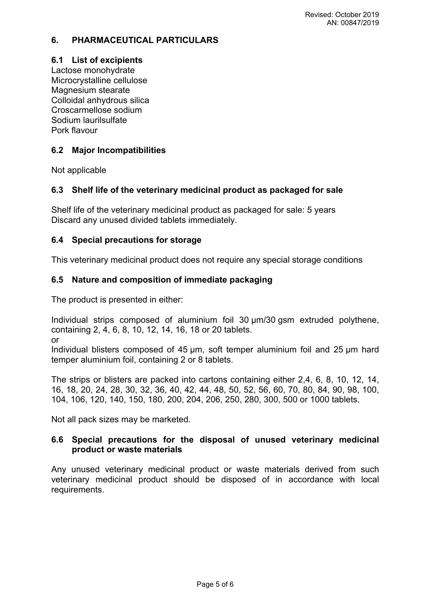# **6. PHARMACEUTICAL PARTICULARS**

## **6.1 List of excipients**

Lactose monohydrate Microcrystalline cellulose Magnesium stearate Colloidal anhydrous silica Croscarmellose sodium Sodium laurilsulfate Pork flavour

## **6.2 Major Incompatibilities**

Not applicable

# **6.3 Shelf life of the veterinary medicinal product as packaged for sale**

Shelf life of the veterinary medicinal product as packaged for sale: 5 years Discard any unused divided tablets immediately.

## **6.4 Special precautions for storage**

This veterinary medicinal product does not require any special storage conditions

## **6.5 Nature and composition of immediate packaging**

The product is presented in either:

Individual strips composed of aluminium foil 30 µm/30 gsm extruded polythene, containing 2, 4, 6, 8, 10, 12, 14, 16, 18 or 20 tablets.

or

Individual blisters composed of 45 µm, soft temper aluminium foil and 25 µm hard temper aluminium foil, containing 2 or 8 tablets.

The strips or blisters are packed into cartons containing either 2,4, 6, 8, 10, 12, 14, 16, 18, 20, 24, 28, 30, 32, 36, 40, 42, 44, 48, 50, 52, 56, 60, 70, 80, 84, 90, 98, 100, 104, 106, 120, 140, 150, 180, 200, 204, 206, 250, 280, 300, 500 or 1000 tablets.

Not all pack sizes may be marketed.

## **6.6 Special precautions for the disposal of unused veterinary medicinal product or waste materials**

Any unused veterinary medicinal product or waste materials derived from such veterinary medicinal product should be disposed of in accordance with local requirements.